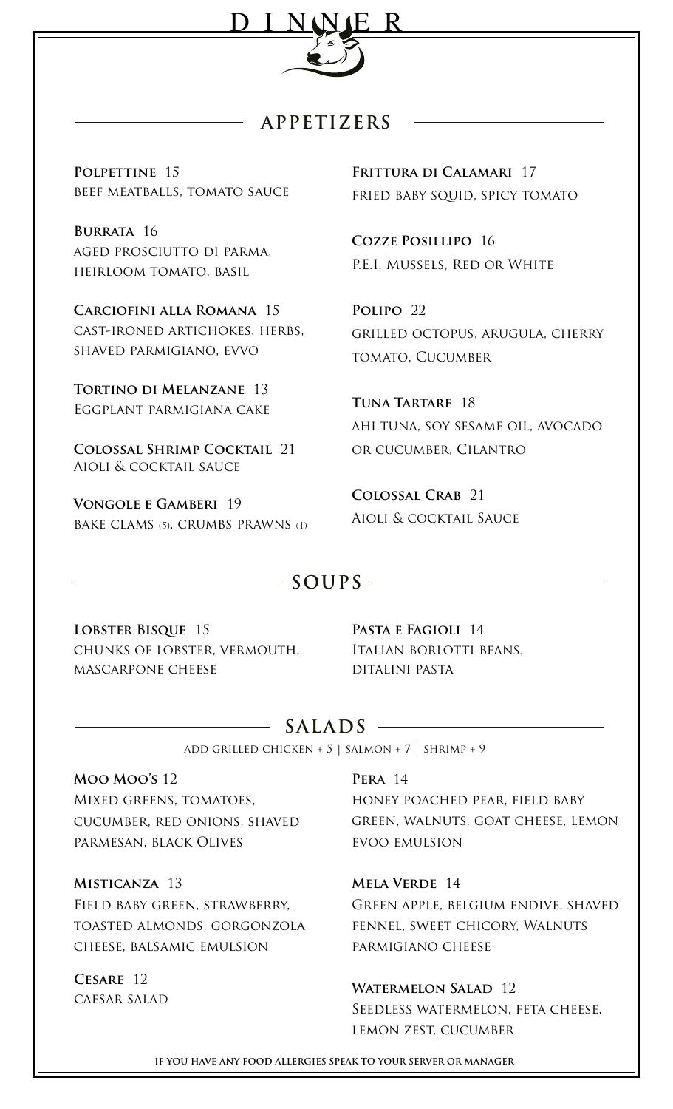

## **APPETIZERS**

**Polpettine** 15 beef meatballs, tomato sauce

**Burrata** 16 aged prosciutto di parma, heirloom tomato, basil

**Carciofini alla Romana** 15 cast-ironed artichokes, herbs, shaved parmigiano, evvo

**Tortino di Melanzane** 13 Eggplant parmigiana cake

**Colossal Shrimp Cocktail** 21 Aioli & cocktail sauce

**Vongole e Gamberi** 19 bake clams (5), crumbs prawns (1) **Frittura di Calamari** 17 fried baby squid, spicy tomato

**Cozze Posillipo** 16 P.E.I. Mussels, Red or White

**Polipo** 22 grilled octopus, arugula, cherry tomato, Cucumber

**Tuna Tartare** 18 ahi tuna, soy sesame oil, avocado or cucumber, Cilantro

**Colossal Crab** 21 Aioli & cocktail Sauce

## **SOUPS**

**Lobster Bisque** 15 chunks of lobster, vermouth, mascarpone cheese

**Pasta e Fagioli** 14 Italian borlotti beans, ditalini pasta

# **SALADS**

add grilled chicken + 5 | salmon + 7 | shrimp + 9

**Moo Moo's** 12 Mixed greens, tomatoes, cucumber, red onions, shaved parmesan, black Olives

**Misticanza** 13 Field baby green, strawberry, toasted almonds, gorgonzola cheese, balsamic emulsion

**Cesare** 12 caesar salad

### **Pera** 14

honey poached pear, field baby green, walnuts, goat cheese, lemon evoo emulsion

**Mela Verde** 14

Green apple, belgium endive, shaved fennel, sweet chicory, Walnuts parmigiano cheese

### **Watermelon Salad** 12

Seedless watermelon, feta cheese, lemon zest, cucumber

**IF YOU HAVE ANY FOOD ALLERGIES SPEAK TO YOUR SERVER OR MANAGER**